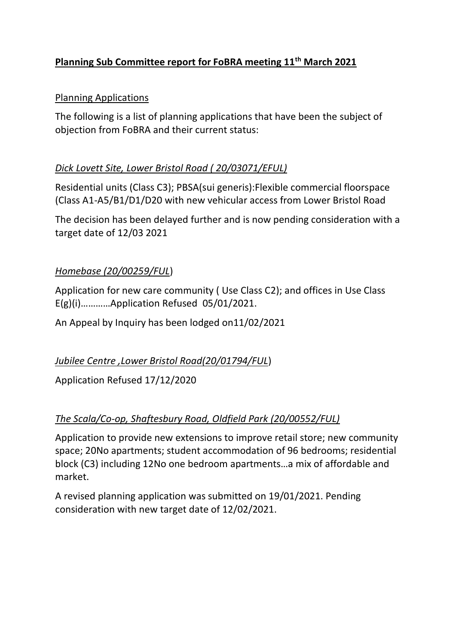# **Planning Sub Committee report for FoBRA meeting 11th March 2021**

#### Planning Applications

The following is a list of planning applications that have been the subject of objection from FoBRA and their current status:

### *Dick Lovett Site, Lower Bristol Road ( 20/03071/EFUL)*

Residential units (Class C3); PBSA(sui generis):Flexible commercial floorspace (Class A1-A5/B1/D1/D20 with new vehicular access from Lower Bristol Road

The decision has been delayed further and is now pending consideration with a target date of 12/03 2021

### *Homebase (20/00259/FUL*)

Application for new care community ( Use Class C2); and offices in Use Class E(g)(i)…………Application Refused 05/01/2021.

An Appeal by Inquiry has been lodged on11/02/2021

### *Jubilee Centre ,Lower Bristol Road(20/01794/FUL*)

Application Refused 17/12/2020

### *The Scala/Co-op, Shaftesbury Road, Oldfield Park (20/00552/FUL)*

Application to provide new extensions to improve retail store; new community space; 20No apartments; student accommodation of 96 bedrooms; residential block (C3) including 12No one bedroom apartments…a mix of affordable and market.

A revised planning application was submitted on 19/01/2021. Pending consideration with new target date of 12/02/2021.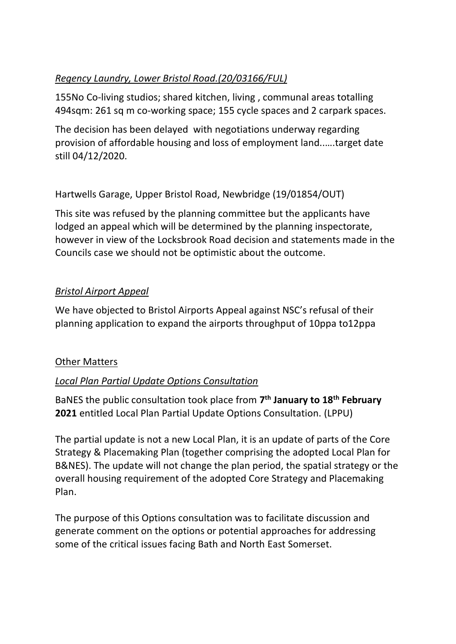# *Regency Laundry, Lower Bristol Road.(20/03166/FUL)*

155No Co-living studios; shared kitchen, living , communal areas totalling 494sqm: 261 sq m co-working space; 155 cycle spaces and 2 carpark spaces.

The decision has been delayed with negotiations underway regarding provision of affordable housing and loss of employment land..….target date still 04/12/2020.

Hartwells Garage, Upper Bristol Road, Newbridge (19/01854/OUT)

This site was refused by the planning committee but the applicants have lodged an appeal which will be determined by the planning inspectorate, however in view of the Locksbrook Road decision and statements made in the Councils case we should not be optimistic about the outcome.

### *Bristol Airport Appeal*

We have objected to Bristol Airports Appeal against NSC's refusal of their planning application to expand the airports throughput of 10ppa to12ppa

### Other Matters

### *Local Plan Partial Update Options Consultation*

BaNES the public consultation took place from **7 th January to 18th February 2021** entitled Local Plan Partial Update Options Consultation. (LPPU)

The partial update is not a new Local Plan, it is an update of parts of the Core Strategy & Placemaking Plan (together comprising the adopted Local Plan for B&NES). The update will not change the plan period, the spatial strategy or the overall housing requirement of the adopted Core Strategy and Placemaking Plan.

The purpose of this Options consultation was to facilitate discussion and generate comment on the options or potential approaches for addressing some of the critical issues facing Bath and North East Somerset.